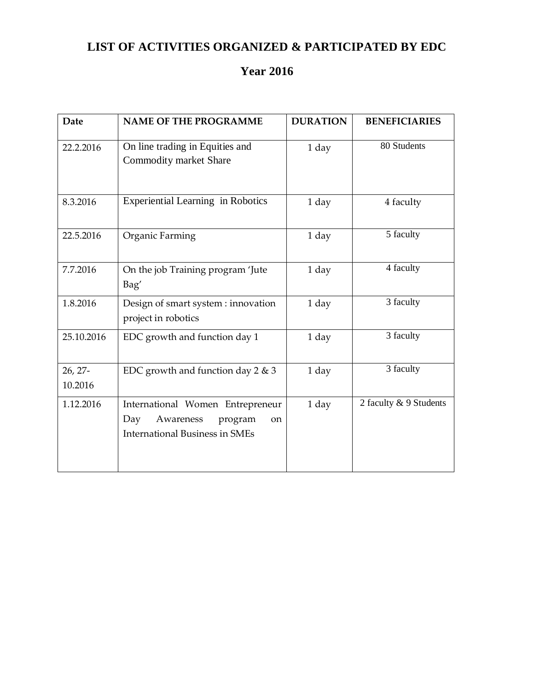## **LIST OF ACTIVITIES ORGANIZED & PARTICIPATED BY EDC**

## **Year 2016**

| <b>Date</b>        | <b>NAME OF THE PROGRAMME</b>                                                                                   | <b>DURATION</b> | <b>BENEFICIARIES</b>   |
|--------------------|----------------------------------------------------------------------------------------------------------------|-----------------|------------------------|
| 22.2.2016          | On line trading in Equities and<br>Commodity market Share                                                      | 1 day           | 80 Students            |
| 8.3.2016           | <b>Experiential Learning in Robotics</b>                                                                       | 1 day           | 4 faculty              |
| 22.5.2016          | Organic Farming                                                                                                | 1 day           | 5 faculty              |
| 7.7.2016           | On the job Training program 'Jute<br>Bag'                                                                      | 1 day           | 4 faculty              |
| 1.8.2016           | Design of smart system : innovation<br>project in robotics                                                     | 1 day           | 3 faculty              |
| 25.10.2016         | EDC growth and function day 1                                                                                  | 1 day           | 3 faculty              |
| 26, 27-<br>10.2016 | EDC growth and function day $2 \& 3$                                                                           | 1 day           | 3 faculty              |
| 1.12.2016          | International Women Entrepreneur<br>Day<br>Awareness<br>program<br>on<br><b>International Business in SMEs</b> | 1 day           | 2 faculty & 9 Students |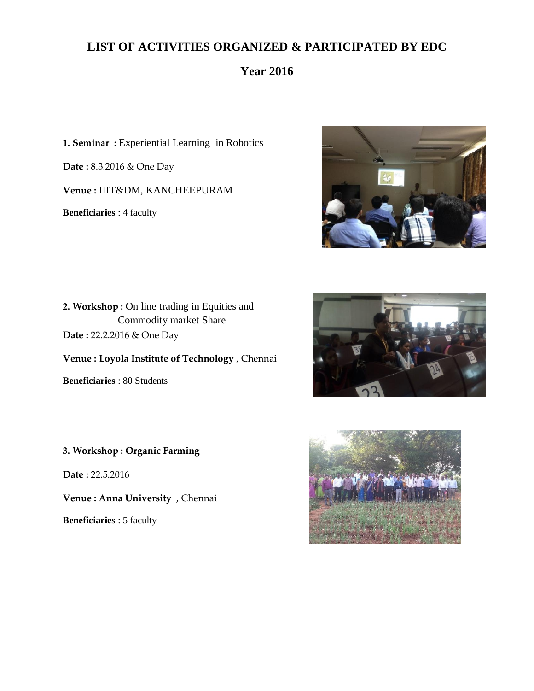## **LIST OF ACTIVITIES ORGANIZED & PARTICIPATED BY EDC**

## **Year 2016**

**1. Seminar :** Experiential Learning in Robotics

**Date :** 8.3.2016 & One Day

**Venue :** IIIT&DM, KANCHEEPURAM

**Beneficiaries** : 4 faculty



2. Workshop : On line trading in Equities and Commodity market Share **Date :** 22.2.2016 & One Day

**Venue : Loyola Institute of Technology** , Chennai

**Beneficiaries** : 80 Students

**3. Workshop : Organic Farming** 

**Date :** 22.5.2016

**Venue : Anna University** , Chennai

**Beneficiaries** : 5 faculty



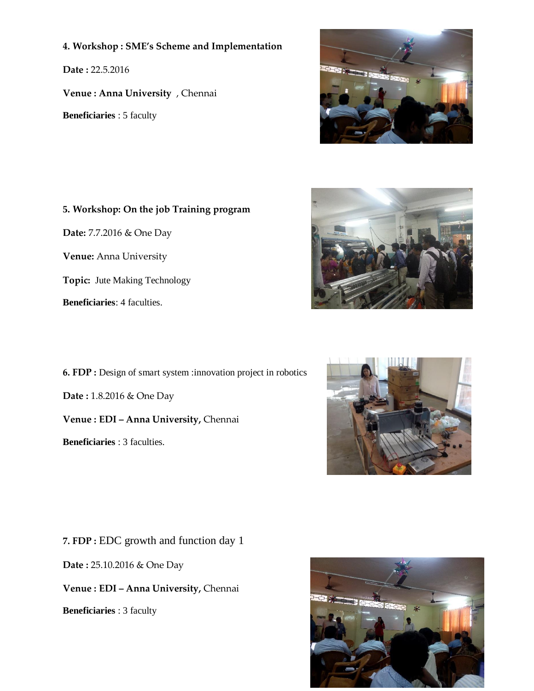#### **4. Workshop : SME's Scheme and Implementation**

**Date :** 22.5.2016

**Venue : Anna University** , Chennai

**Beneficiaries** : 5 faculty



# **5. Workshop: On the job Training program Date:** 7.7.2016 & One Day **Venue:** Anna University **Topic:** Jute Making Technology **Beneficiaries**: 4 faculties.

**6. FDP :** Design of smart system :innovation project in robotics **Date :** 1.8.2016 & One Day **Venue : EDI – Anna University,** Chennai **Beneficiaries** : 3 faculties.